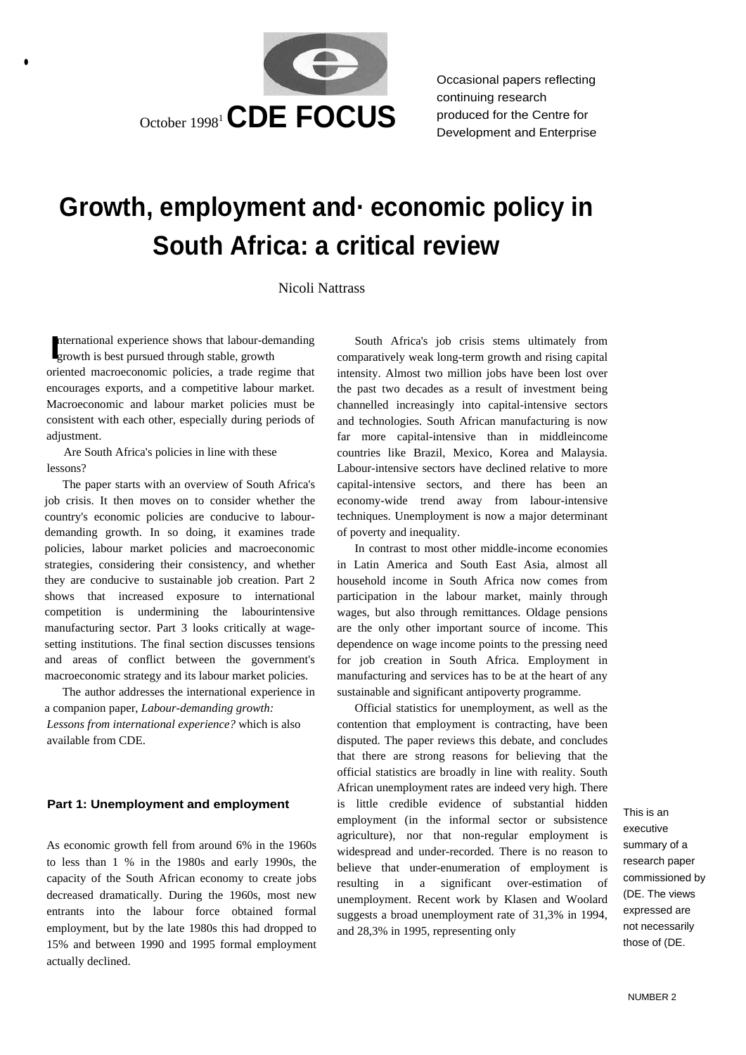

 Occasional papers reflecting continuing research produced for the Centre for

# **Growth, employment and· economic policy in South Africa: a critical review**

#### Nicoli Nattrass

nt gr ernational experience shows that labour-demanding

•

oriented macroeconomic policies, a trade regime that encourages exports, and a competitive labour market. Macroeconomic and labour market policies must be consistent with each other, especially during periods of adjustment.

Are South Africa's policies in line with these lessons?

The paper starts with an overview of South Africa's job crisis. It then moves on to consider whether the country's economic policies are conducive to labourdemanding growth. In so doing, it examines trade policies, labour market policies and macroeconomic strategies, considering their consistency, and whether they are conducive to sustainable job creation. Part 2 shows that increased exposure to international competition is undermining the labourintensive manufacturing sector. Part 3 looks critically at wagesetting institutions. The final section discusses tensions and areas of conflict between the government's macroeconomic strategy and its labour market policies.

The author addresses the international experience in a companion paper, *Labour-demanding growth:* 

*Lessons from international experience?* which is also available from CDE.

As economic growth fell from around 6% in the 1960s to less than 1 % in the 1980s and early 1990s, the capacity of the South African economy to create jobs decreased dramatically. During the 1960s, most new entrants into the labour force obtained formal employment, but by the late 1980s this had dropped to 15% and between 1990 and 1995 formal employment actually declined.

nternational experience shows that labour-demanding South Africa's job crisis stems ultimately from growth is best pursued through stable, growth comparatively weak long-term growth and rising capital comparatively weak long-term growth and rising capital intensity. Almost two million jobs have been lost over the past two decades as a result of investment being channelled increasingly into capital-intensive sectors and technologies. South African manufacturing is now far more capital-intensive than in middleincome countries like Brazil, Mexico, Korea and Malaysia. Labour-intensive sectors have declined relative to more capital-intensive sectors, and there has been an economy-wide trend away from labour-intensive techniques. Unemployment is now a major determinant of poverty and inequality.

> In contrast to most other middle-income economies in Latin America and South East Asia, almost all household income in South Africa now comes from participation in the labour market, mainly through wages, but also through remittances. Oldage pensions are the only other important source of income. This dependence on wage income points to the pressing need for job creation in South Africa. Employment in manufacturing and services has to be at the heart of any sustainable and significant antipoverty programme.

Official statistics for unemployment, as well as the contention that employment is contracting, have been disputed. The paper reviews this debate, and concludes that there are strong reasons for believing that the official statistics are broadly in line with reality. South African unemployment rates are indeed very high. There **Part 1: Unemployment and employment** is little credible evidence of substantial hidden This is an employment (in the informal sector or subsistence agriculture), nor that non-regular employment is widespread and under-recorded. There is no reason to believe that under-enumeration of employment is resulting in a significant over-estimation of unemployment. Recent work by Klasen and Woolard suggests a broad unemployment rate of 31,3% in 1994, and 28,3% in 1995, representing only

executive summary of a research paper commissioned by (DE. The views expressed are not necessarily those of (DE.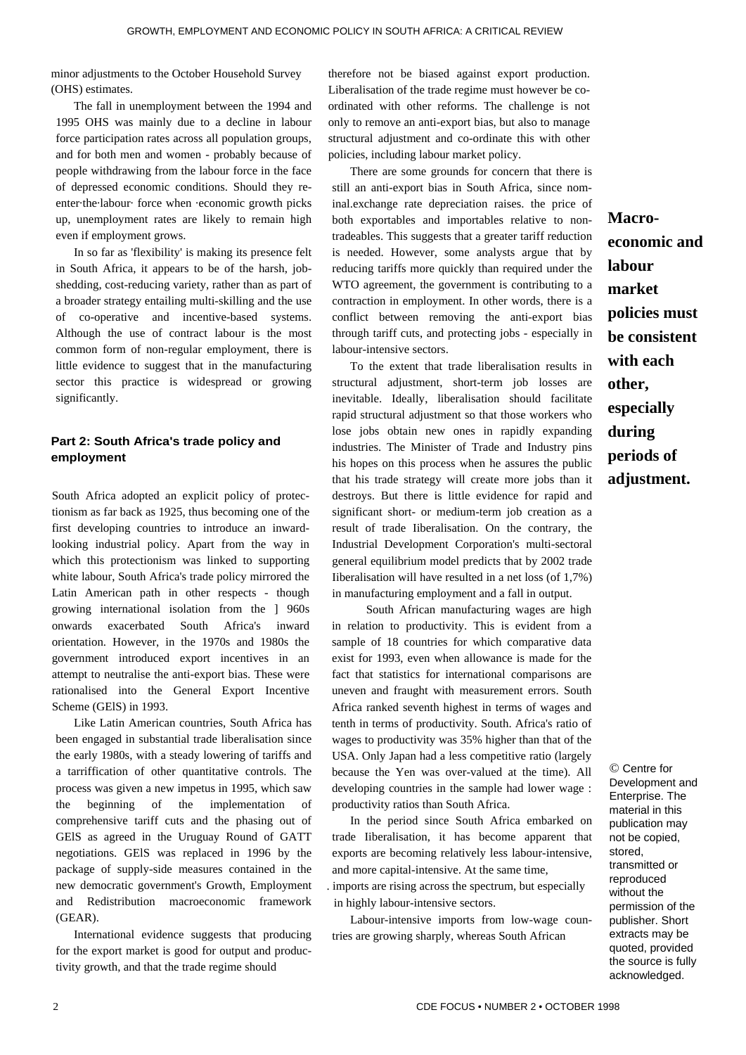minor adjustments to the October Household Survey (OHS) estimates.

The fall in unemployment between the 1994 and 1995 OHS was mainly due to a decline in labour force participation rates across all population groups, and for both men and women - probably because of people withdrawing from the labour force in the face of depressed economic conditions. Should they reenter·the·labour· force when ·economic growth picks up, unemployment rates are likely to remain high even if employment grows.

In so far as 'flexibility' is making its presence felt in South Africa, it appears to be of the harsh, jobshedding, cost-reducing variety, rather than as part of a broader strategy entailing multi-skilling and the use of co-operative and incentive-based systems. Although the use of contract labour is the most common form of non-regular employment, there is little evidence to suggest that in the manufacturing sector this practice is widespread or growing significantly.

## **Part 2: South Africa's trade policy and employment**

South Africa adopted an explicit policy of protectionism as far back as 1925, thus becoming one of the first developing countries to introduce an inwardlooking industrial policy. Apart from the way in which this protectionism was linked to supporting white labour, South Africa's trade policy mirrored the Latin American path in other respects - though growing international isolation from the ] 960s onwards exacerbated South Africa's inward orientation. However, in the 1970s and 1980s the government introduced export incentives in an attempt to neutralise the anti-export bias. These were rationalised into the General Export Incentive Scheme (GElS) in 1993.

Like Latin American countries, South Africa has been engaged in substantial trade liberalisation since the early 1980s, with a steady lowering of tariffs and a tarriffication of other quantitative controls. The process was given a new impetus in 1995, which saw the beginning of the implementation of comprehensive tariff cuts and the phasing out of GElS as agreed in the Uruguay Round of GATT negotiations. GElS was replaced in 1996 by the package of supply-side measures contained in the new democratic government's Growth, Employment and Redistribution macroeconomic framework (GEAR).

International evidence suggests that producing for the export market is good for output and productivity growth, and that the trade regime should

therefore not be biased against export production. Liberalisation of the trade regime must however be coordinated with other reforms. The challenge is not only to remove an anti-export bias, but also to manage structural adjustment and co-ordinate this with other policies, including labour market policy.

There are some grounds for concern that there is still an anti-export bias in South Africa, since nominal.exchange rate depreciation raises. the price of both exportables and importables relative to nontradeables. This suggests that a greater tariff reduction is needed. However, some analysts argue that by reducing tariffs more quickly than required under the WTO agreement, the government is contributing to a contraction in employment. In other words, there is a conflict between removing the anti-export bias through tariff cuts, and protecting jobs - especially in labour-intensive sectors.

To the extent that trade liberalisation results in structural adjustment, short-term job losses are inevitable. Ideally, liberalisation should facilitate rapid structural adjustment so that those workers who lose jobs obtain new ones in rapidly expanding industries. The Minister of Trade and Industry pins his hopes on this process when he assures the public that his trade strategy will create more jobs than it destroys. But there is little evidence for rapid and significant short- or medium-term job creation as a result of trade Iiberalisation. On the contrary, the Industrial Development Corporation's multi-sectoral general equilibrium model predicts that by 2002 trade Iiberalisation will have resulted in a net loss (of 1,7%) in manufacturing employment and a fall in output.

South African manufacturing wages are high in relation to productivity. This is evident from a sample of 18 countries for which comparative data exist for 1993, even when allowance is made for the fact that statistics for international comparisons are uneven and fraught with measurement errors. South Africa ranked seventh highest in terms of wages and tenth in terms of productivity. South. Africa's ratio of wages to productivity was 35% higher than that of the USA. Only Japan had a less competitive ratio (largely because the Yen was over-valued at the time). All developing countries in the sample had lower wage : productivity ratios than South Africa.

In the period since South Africa embarked on trade Iiberalisation, it has become apparent that exports are becoming relatively less labour-intensive, and more capital-intensive. At the same time,

. imports are rising across the spectrum, but especially in highly labour-intensive sectors.

Labour-intensive imports from low-wage countries are growing sharply, whereas South African

**Macroeconomic and labour market policies must be consistent with each other, especially during periods of adjustment.** 

© Centre for Development and Enterprise. The material in this publication may not be copied, stored, transmitted or reproduced without the permission of the publisher. Short extracts may be quoted, provided the source is fully acknowledged.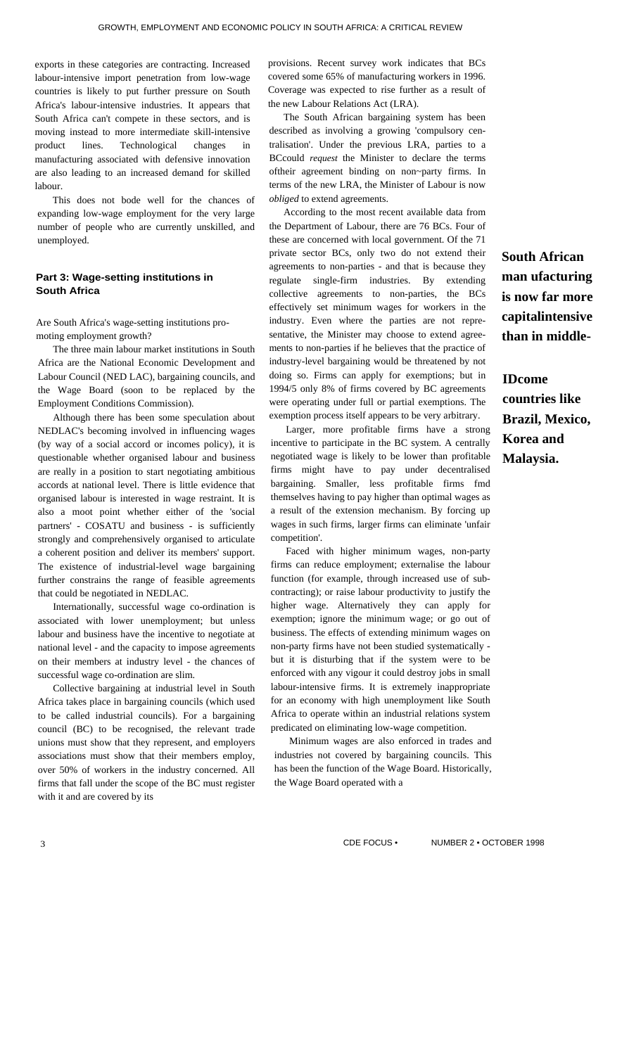exports in these categories are contracting. Increased labour-intensive import penetration from low-wage countries is likely to put further pressure on South Africa's labour-intensive industries. It appears that South Africa can't compete in these sectors, and is moving instead to more intermediate skill-intensive product lines. Technological changes in manufacturing associated with defensive innovation are also leading to an increased demand for skilled labour.

This does not bode well for the chances of expanding low-wage employment for the very large number of people who are currently unskilled, and unemployed.

## **Part 3: Wage-setting institutions in South Africa**

Are South Africa's wage-setting institutions promoting employment growth?

The three main labour market institutions in South Africa are the National Economic Development and Labour Council (NED LAC), bargaining councils, and the Wage Board (soon to be replaced by the Employment Conditions Commission).

Although there has been some speculation about NEDLAC's becoming involved in influencing wages (by way of a social accord or incomes policy), it is questionable whether organised labour and business are really in a position to start negotiating ambitious accords at national level. There is little evidence that organised labour is interested in wage restraint. It is also a moot point whether either of the 'social partners' - COSATU and business - is sufficiently strongly and comprehensively organised to articulate a coherent position and deliver its members' support. The existence of industrial-level wage bargaining further constrains the range of feasible agreements that could be negotiated in NEDLAC.

Internationally, successful wage co-ordination is associated with lower unemployment; but unless labour and business have the incentive to negotiate at national level - and the capacity to impose agreements on their members at industry level - the chances of successful wage co-ordination are slim.

Collective bargaining at industrial level in South Africa takes place in bargaining councils (which used to be called industrial councils). For a bargaining council (BC) to be recognised, the relevant trade unions must show that they represent, and employers associations must show that their members employ, over 50% of workers in the industry concerned. All firms that fall under the scope of the BC must register with it and are covered by its

provisions. Recent survey work indicates that BCs covered some 65% of manufacturing workers in 1996. Coverage was expected to rise further as a result of the new Labour Relations Act (LRA).

The South African bargaining system has been described as involving a growing 'compulsory centralisation'. Under the previous LRA, parties to a BCcould *request* the Minister to declare the terms oftheir agreement binding on non~party firms. In terms of the new LRA, the Minister of Labour is now *obliged* to extend agreements.

According to the most recent available data from the Department of Labour, there are 76 BCs. Four of these are concerned with local government. Of the 71 private sector BCs, only two do not extend their agreements to non-parties - and that is because they regulate single-firm industries. By extending collective agreements to non-parties, the BCs effectively set minimum wages for workers in the industry. Even where the parties are not representative, the Minister may choose to extend agreements to non-parties if he believes that the practice of industry-level bargaining would be threatened by not doing so. Firms can apply for exemptions; but in 1994/5 only 8% of firms covered by BC agreements were operating under full or partial exemptions. The exemption process itself appears to be very arbitrary.

Larger, more profitable firms have a strong incentive to participate in the BC system. A centrally negotiated wage is likely to be lower than profitable firms might have to pay under decentralised bargaining. Smaller, less profitable firms fmd themselves having to pay higher than optimal wages as a result of the extension mechanism. By forcing up wages in such firms, larger firms can eliminate 'unfair competition'.

Faced with higher minimum wages, non-party firms can reduce employment; externalise the labour function (for example, through increased use of subcontracting); or raise labour productivity to justify the higher wage. Alternatively they can apply for exemption; ignore the minimum wage; or go out of business. The effects of extending minimum wages on non-party firms have not been studied systematically but it is disturbing that if the system were to be enforced with any vigour it could destroy jobs in small labour-intensive firms. It is extremely inappropriate for an economy with high unemployment like South Africa to operate within an industrial relations system predicated on eliminating low-wage competition.

Minimum wages are also enforced in trades and industries not covered by bargaining councils. This has been the function of the Wage Board. Historically, the Wage Board operated with a

**South African man ufacturing is now far more capitalintensive than in middle-**

**IDcome countries like Brazil, Mexico, Korea and Malaysia.** 

3 CDE FOCUS • NUMBER 2 • OCTOBER 1998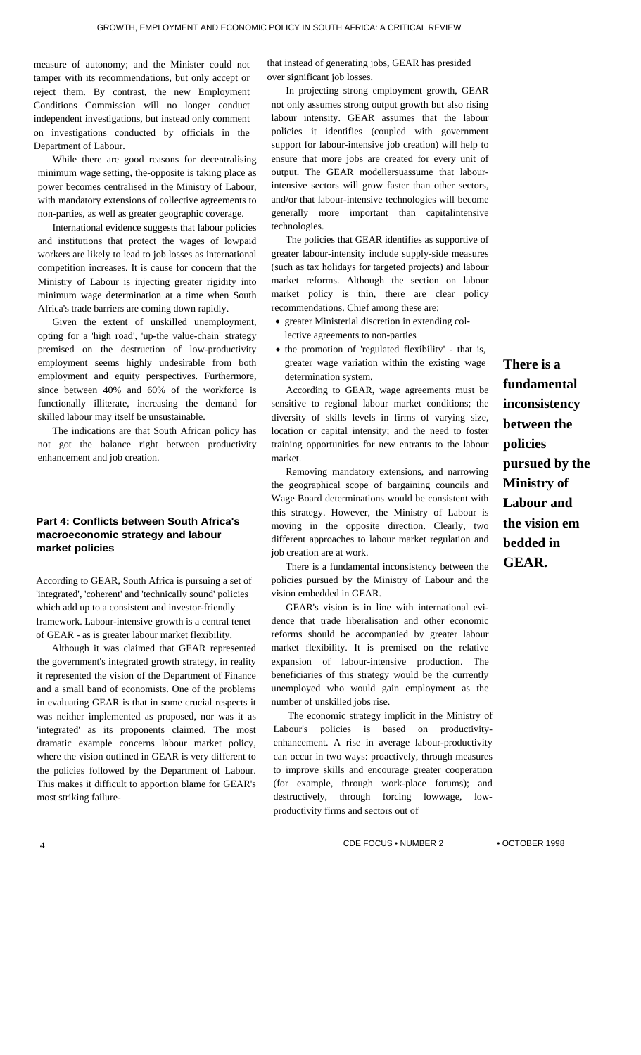measure of autonomy; and the Minister could not tamper with its recommendations, but only accept or reject them. By contrast, the new Employment Conditions Commission will no longer conduct independent investigations, but instead only comment on investigations conducted by officials in the Department of Labour.

While there are good reasons for decentralising minimum wage setting, the-opposite is taking place as power becomes centralised in the Ministry of Labour, with mandatory extensions of collective agreements to non-parties, as well as greater geographic coverage.

International evidence suggests that labour policies and institutions that protect the wages of lowpaid workers are likely to lead to job losses as international competition increases. It is cause for concern that the Ministry of Labour is injecting greater rigidity into minimum wage determination at a time when South Africa's trade barriers are coming down rapidly.

Given the extent of unskilled unemployment, opting for a 'high road', 'up-the value-chain' strategy premised on the destruction of low-productivity employment seems highly undesirable from both employment and equity perspectives. Furthermore, since between 40% and 60% of the workforce is functionally illiterate, increasing the demand for skilled labour may itself be unsustainable.

The indications are that South African policy has not got the balance right between productivity enhancement and job creation.

# **Part 4: Conflicts between South Africa's macroeconomic strategy and labour market policies**

According to GEAR, South Africa is pursuing a set of 'integrated', 'coherent' and 'technically sound' policies which add up to a consistent and investor-friendly framework. Labour-intensive growth is a central tenet of GEAR - as is greater labour market flexibility.

Although it was claimed that GEAR represented the government's integrated growth strategy, in reality it represented the vision of the Department of Finance and a small band of economists. One of the problems in evaluating GEAR is that in some crucial respects it was neither implemented as proposed, nor was it as 'integrated' as its proponents claimed. The most dramatic example concerns labour market policy, where the vision outlined in GEAR is very different to the policies followed by the Department of Labour. This makes it difficult to apportion blame for GEAR's most striking failurethat instead of generating jobs, GEAR has presided over significant job losses.

In projecting strong employment growth, GEAR not only assumes strong output growth but also rising labour intensity. GEAR assumes that the labour policies it identifies (coupled with government support for labour-intensive job creation) will help to ensure that more jobs are created for every unit of output. The GEAR modellersuassume that labourintensive sectors will grow faster than other sectors, and/or that labour-intensive technologies will become generally more important than capitalintensive technologies.

The policies that GEAR identifies as supportive of greater labour-intensity include supply-side measures (such as tax holidays for targeted projects) and labour market reforms. Although the section on labour market policy is thin, there are clear policy recommendations. Chief among these are:

- greater Ministerial discretion in extending collective agreements to non-parties
- the promotion of 'regulated flexibility' that is, greater wage variation within the existing wage determination system.

According to GEAR, wage agreements must be sensitive to regional labour market conditions; the diversity of skills levels in firms of varying size, location or capital intensity; and the need to foster training opportunities for new entrants to the labour market.

Removing mandatory extensions, and narrowing the geographical scope of bargaining councils and Wage Board determinations would be consistent with this strategy. However, the Ministry of Labour is moving in the opposite direction. Clearly, two different approaches to labour market regulation and job creation are at work.

There is a fundamental inconsistency between the policies pursued by the Ministry of Labour and the vision embedded in GEAR.

GEAR's vision is in line with international evidence that trade liberalisation and other economic reforms should be accompanied by greater labour market flexibility. It is premised on the relative expansion of labour-intensive production. The beneficiaries of this strategy would be the currently unemployed who would gain employment as the number of unskilled jobs rise.

The economic strategy implicit in the Ministry of Labour's policies is based on productivityenhancement. A rise in average labour-productivity can occur in two ways: proactively, through measures to improve skills and encourage greater cooperation (for example, through work-place forums); and destructively, through forcing lowwage, lowproductivity firms and sectors out of

CDE FOCUS • NUMBER 2 • OCTOBER 1998 4

**fundamental inconsistency between the policies pursued by the Ministry of Labour and the vision em bedded in GEAR.** 

**There is a**